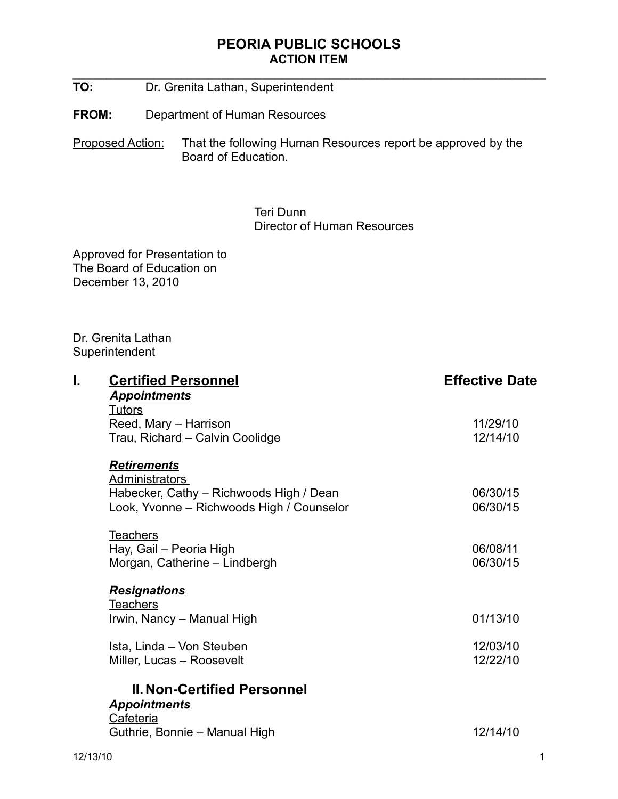**\_\_\_\_\_\_\_\_\_\_\_\_\_\_\_\_\_\_\_\_\_\_\_\_\_\_\_\_\_\_\_\_\_\_\_\_\_\_\_\_\_\_\_\_\_\_\_\_\_\_\_\_\_\_\_\_\_\_\_\_\_\_\_\_\_\_\_\_\_\_**

- **TO:** Dr. Grenita Lathan, Superintendent
- **FROM:** Department of Human Resources

Proposed Action: That the following Human Resources report be approved by the Board of Education.

> Teri Dunn Director of Human Resources

Approved for Presentation to The Board of Education on December 13, 2010

Dr. Grenita Lathan **Superintendent** 

| I. | <b>Certified Personnel</b>                | <b>Effective Date</b> |
|----|-------------------------------------------|-----------------------|
|    | <b>Appointments</b>                       |                       |
|    | <b>Tutors</b>                             |                       |
|    | Reed, Mary - Harrison                     | 11/29/10              |
|    | Trau, Richard - Calvin Coolidge           | 12/14/10              |
|    | <b>Retirements</b>                        |                       |
|    | <b>Administrators</b>                     |                       |
|    | Habecker, Cathy - Richwoods High / Dean   | 06/30/15              |
|    | Look, Yvonne - Richwoods High / Counselor | 06/30/15              |
|    | <b>Teachers</b>                           |                       |
|    | Hay, Gail - Peoria High                   | 06/08/11              |
|    | Morgan, Catherine - Lindbergh             | 06/30/15              |
|    | <b>Resignations</b>                       |                       |
|    | <b>Teachers</b>                           |                       |
|    | Irwin, Nancy - Manual High                | 01/13/10              |
|    | Ista, Linda - Von Steuben                 | 12/03/10              |
|    | Miller, Lucas - Roosevelt                 | 12/22/10              |
|    | <b>II. Non-Certified Personnel</b>        |                       |
|    | <b>Appointments</b>                       |                       |
|    | Cafeteria                                 |                       |
|    | Guthrie, Bonnie - Manual High             | 12/14/10              |
|    |                                           |                       |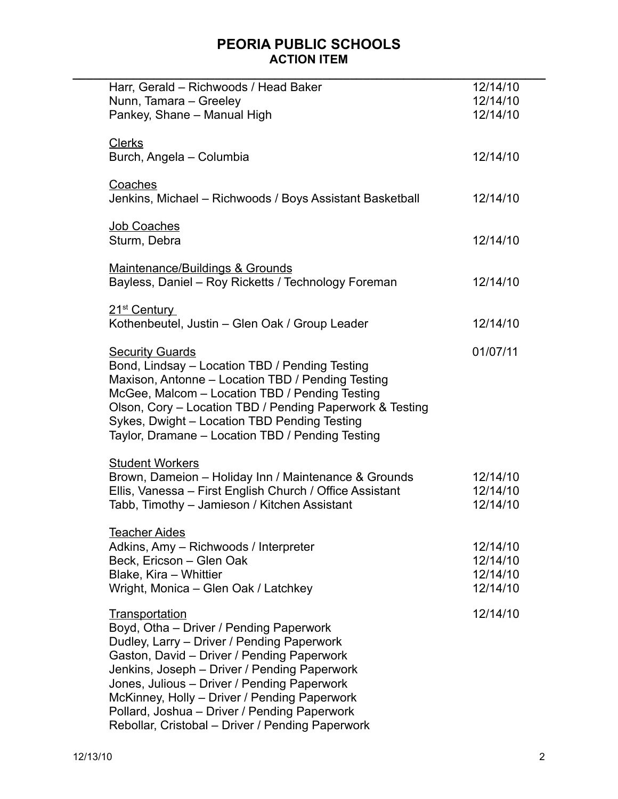| Harr, Gerald - Richwoods / Head Baker<br>Nunn, Tamara - Greeley                                                                                                                                                                                                                                                                                                                                          | 12/14/10<br>12/14/10                         |
|----------------------------------------------------------------------------------------------------------------------------------------------------------------------------------------------------------------------------------------------------------------------------------------------------------------------------------------------------------------------------------------------------------|----------------------------------------------|
| Pankey, Shane - Manual High                                                                                                                                                                                                                                                                                                                                                                              | 12/14/10                                     |
| <b>Clerks</b><br>Burch, Angela - Columbia                                                                                                                                                                                                                                                                                                                                                                | 12/14/10                                     |
| Coaches<br>Jenkins, Michael - Richwoods / Boys Assistant Basketball                                                                                                                                                                                                                                                                                                                                      | 12/14/10                                     |
| <b>Job Coaches</b><br>Sturm, Debra                                                                                                                                                                                                                                                                                                                                                                       | 12/14/10                                     |
| Maintenance/Buildings & Grounds<br>Bayless, Daniel - Roy Ricketts / Technology Foreman                                                                                                                                                                                                                                                                                                                   | 12/14/10                                     |
| 21 <sup>st</sup> Century<br>Kothenbeutel, Justin - Glen Oak / Group Leader                                                                                                                                                                                                                                                                                                                               | 12/14/10                                     |
| <b>Security Guards</b><br>Bond, Lindsay - Location TBD / Pending Testing<br>Maxison, Antonne - Location TBD / Pending Testing<br>McGee, Malcom - Location TBD / Pending Testing<br>Olson, Cory - Location TBD / Pending Paperwork & Testing<br>Sykes, Dwight - Location TBD Pending Testing<br>Taylor, Dramane - Location TBD / Pending Testing                                                          | 01/07/11                                     |
| <b>Student Workers</b><br>Brown, Dameion - Holiday Inn / Maintenance & Grounds<br>Ellis, Vanessa - First English Church / Office Assistant<br>Tabb, Timothy - Jamieson / Kitchen Assistant                                                                                                                                                                                                               | 12/14/10<br>12/14/10<br>12/14/10             |
| <b>Teacher Aides</b><br>Adkins, Amy - Richwoods / Interpreter<br>Beck, Ericson - Glen Oak<br>Blake, Kira - Whittier<br>Wright, Monica - Glen Oak / Latchkey                                                                                                                                                                                                                                              | 12/14/10<br>12/14/10<br>12/14/10<br>12/14/10 |
| Transportation<br>Boyd, Otha - Driver / Pending Paperwork<br>Dudley, Larry - Driver / Pending Paperwork<br>Gaston, David - Driver / Pending Paperwork<br>Jenkins, Joseph - Driver / Pending Paperwork<br>Jones, Julious - Driver / Pending Paperwork<br>McKinney, Holly - Driver / Pending Paperwork<br>Pollard, Joshua - Driver / Pending Paperwork<br>Rebollar, Cristobal - Driver / Pending Paperwork | 12/14/10                                     |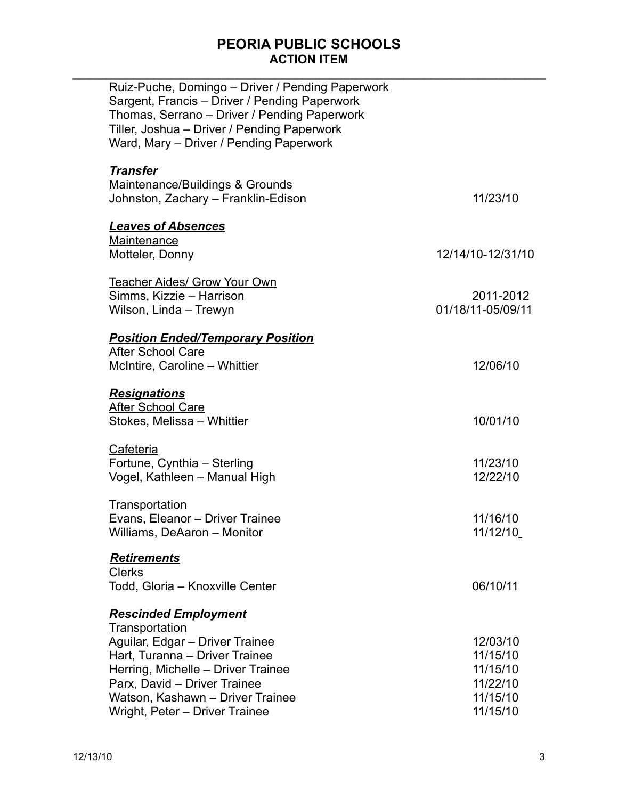| Ruiz-Puche, Domingo - Driver / Pending Paperwork<br>Sargent, Francis - Driver / Pending Paperwork<br>Thomas, Serrano - Driver / Pending Paperwork<br>Tiller, Joshua - Driver / Pending Paperwork<br>Ward, Mary - Driver / Pending Paperwork |                   |
|---------------------------------------------------------------------------------------------------------------------------------------------------------------------------------------------------------------------------------------------|-------------------|
| <b>Transfer</b>                                                                                                                                                                                                                             |                   |
| Maintenance/Buildings & Grounds<br>Johnston, Zachary - Franklin-Edison                                                                                                                                                                      | 11/23/10          |
| <b>Leaves of Absences</b>                                                                                                                                                                                                                   |                   |
| Maintenance                                                                                                                                                                                                                                 |                   |
| Motteler, Donny                                                                                                                                                                                                                             | 12/14/10-12/31/10 |
| <b>Teacher Aides/ Grow Your Own</b>                                                                                                                                                                                                         |                   |
| Simms, Kizzie - Harrison                                                                                                                                                                                                                    | 2011-2012         |
| Wilson, Linda - Trewyn                                                                                                                                                                                                                      | 01/18/11-05/09/11 |
| <b>Position Ended/Temporary Position</b>                                                                                                                                                                                                    |                   |
| <b>After School Care</b>                                                                                                                                                                                                                    |                   |
| McIntire, Caroline - Whittier                                                                                                                                                                                                               | 12/06/10          |
| <b>Resignations</b>                                                                                                                                                                                                                         |                   |
| <b>After School Care</b>                                                                                                                                                                                                                    |                   |
| Stokes, Melissa - Whittier                                                                                                                                                                                                                  | 10/01/10          |
| Cafeteria                                                                                                                                                                                                                                   |                   |
| Fortune, Cynthia - Sterling                                                                                                                                                                                                                 | 11/23/10          |
| Vogel, Kathleen - Manual High                                                                                                                                                                                                               | 12/22/10          |
| Transportation                                                                                                                                                                                                                              |                   |
| Evans, Eleanor – Driver Trainee                                                                                                                                                                                                             | 11/16/10          |
| Williams, DeAaron - Monitor                                                                                                                                                                                                                 | 11/12/10          |
| <b>Retirements</b><br><b>Clerks</b>                                                                                                                                                                                                         |                   |
|                                                                                                                                                                                                                                             | 06/10/11          |
| Todd, Gloria - Knoxville Center                                                                                                                                                                                                             |                   |
| <b>Rescinded Employment</b><br><b>Transportation</b>                                                                                                                                                                                        |                   |
| Aguilar, Edgar - Driver Trainee                                                                                                                                                                                                             |                   |
|                                                                                                                                                                                                                                             | 12/03/10          |
| Hart, Turanna - Driver Trainee                                                                                                                                                                                                              | 11/15/10          |
| Herring, Michelle - Driver Trainee                                                                                                                                                                                                          | 11/15/10          |
| Parx, David - Driver Trainee                                                                                                                                                                                                                | 11/22/10          |
| Watson, Kashawn - Driver Trainee                                                                                                                                                                                                            | 11/15/10          |
| Wright, Peter - Driver Trainee                                                                                                                                                                                                              | 11/15/10          |